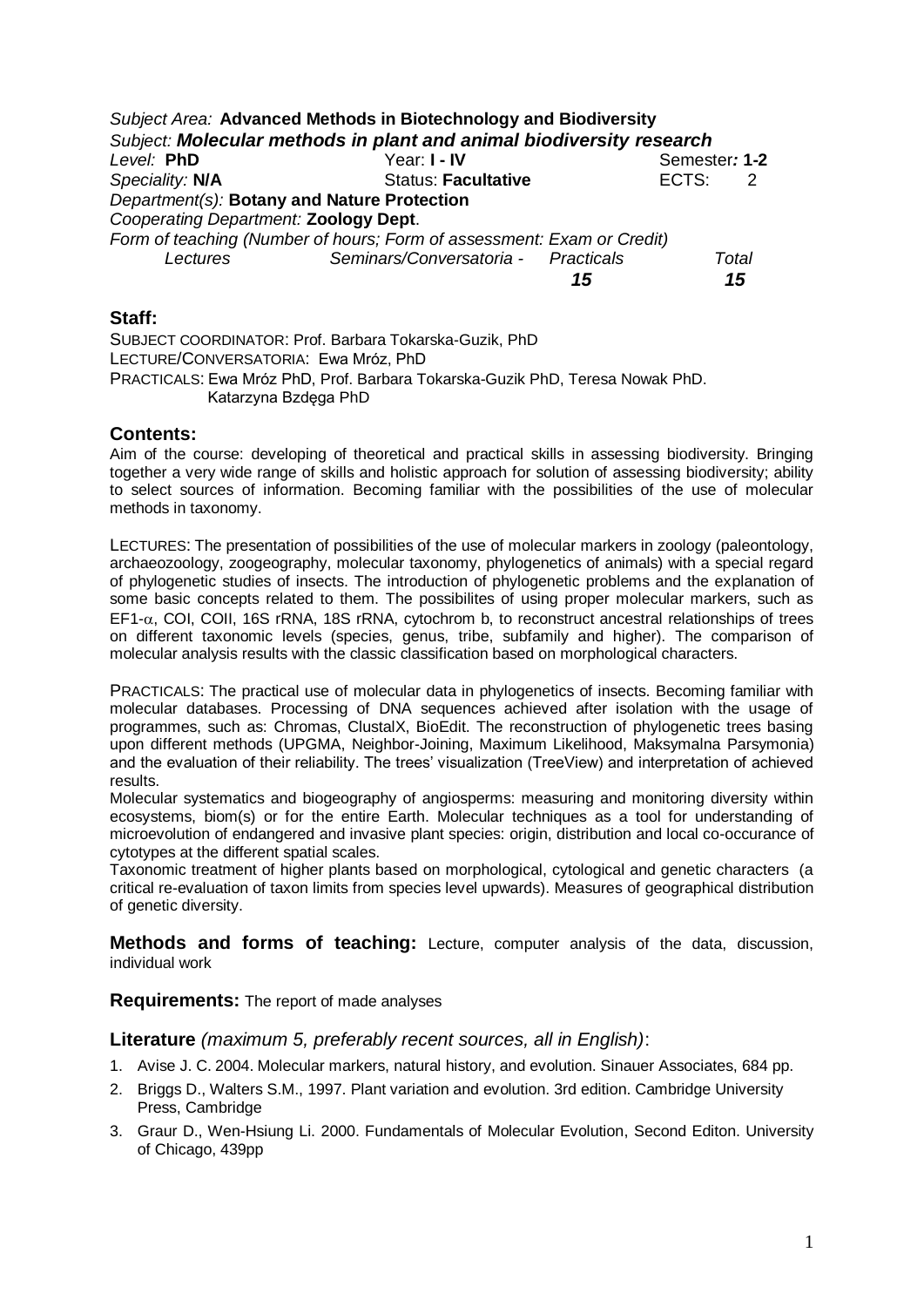|                                             | Subject Area: Advanced Methods in Biotechnology and Biodiversity       |    |       |               |  |
|---------------------------------------------|------------------------------------------------------------------------|----|-------|---------------|--|
|                                             | Subject: Molecular methods in plant and animal biodiversity research   |    |       |               |  |
| Level: PhD                                  | Year: I - IV                                                           |    |       | Semester: 1-2 |  |
| Speciality: N/A                             | <b>Status: Facultative</b>                                             |    | ECTS: | -2            |  |
| Department(s): Botany and Nature Protection |                                                                        |    |       |               |  |
| Cooperating Department: Zoology Dept.       |                                                                        |    |       |               |  |
|                                             | Form of teaching (Number of hours; Form of assessment: Exam or Credit) |    |       |               |  |
| Lectures                                    | Seminars/Conversatoria - Practicals                                    |    |       | Total         |  |
|                                             |                                                                        | 15 |       | 15            |  |

## **Staff:**

SUBJECT COORDINATOR: Prof. Barbara Tokarska-Guzik, PhD LECTURE/CONVERSATORIA: Ewa Mróz, PhD PRACTICALS: Ewa Mróz PhD, Prof. Barbara Tokarska-Guzik PhD, Teresa Nowak PhD. Katarzyna Bzdęga PhD

## **Contents:**

Aim of the course: developing of theoretical and practical skills in assessing biodiversity. Bringing together a very wide range of skills and holistic approach for solution of assessing biodiversity; ability to select sources of information. Becoming familiar with the possibilities of the use of molecular methods in taxonomy.

LECTURES: The presentation of possibilities of the use of molecular markers in zoology (paleontology, archaeozoology, zoogeography, molecular taxonomy, phylogenetics of animals) with a special regard of phylogenetic studies of insects. The introduction of phylogenetic problems and the explanation of some basic concepts related to them. The possibilites of using proper molecular markers, such as  $EFT-\alpha$ , COI, COII, 16S rRNA, 18S rRNA, cytochrom b, to reconstruct ancestral relationships of trees on different taxonomic levels (species, genus, tribe, subfamily and higher). The comparison of molecular analysis results with the classic classification based on morphological characters.

PRACTICALS: The practical use of molecular data in phylogenetics of insects. Becoming familiar with molecular databases. Processing of DNA sequences achieved after isolation with the usage of programmes, such as: Chromas, ClustalX, BioEdit. The reconstruction of phylogenetic trees basing upon different methods (UPGMA, Neighbor-Joining, Maximum Likelihood, Maksymalna Parsymonia) and the evaluation of their reliability. The trees' visualization (TreeView) and interpretation of achieved results.

Molecular systematics and biogeography of angiosperms: measuring and monitoring diversity within ecosystems, biom(s) or for the entire Earth. Molecular techniques as a tool for understanding of microevolution of endangered and invasive plant species: origin, distribution and local co-occurance of cytotypes at the different spatial scales.

Taxonomic treatment of higher plants based on morphological, cytological and genetic characters (a critical re-evaluation of taxon limits from species level upwards). Measures of geographical distribution of genetic diversity.

**Methods and forms of teaching:** Lecture, computer analysis of the data, discussion, individual work

**Requirements:** The report of made analyses

## **Literature** *(maximum 5, preferably recent sources, all in English)*:

- 1. Avise J. C. 2004. Molecular markers, natural history, and evolution. Sinauer Associates, 684 pp.
- 2. Briggs D., Walters S.M., 1997. Plant variation and evolution. 3rd edition. Cambridge University Press, Cambridge
- 3. Graur D., Wen-Hsiung Li. 2000. Fundamentals of Molecular Evolution, Second Editon. University of Chicago, 439pp